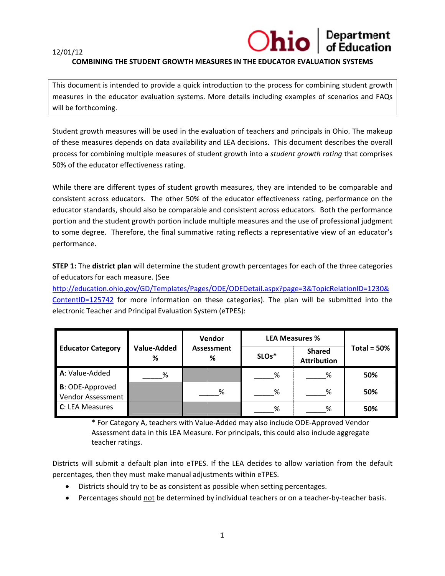#### 12/01/12

# **Department**<br>of Education Ohio

## **COMBINING THE STUDENT GROWTH MEASURES IN THE EDUCATOR EVALUATION SYSTEMS**

This document is intended to provide a quick introduction to the process for combining student growth measures in the educator evaluation systems. More details including examples of scenarios and FAQs will be forthcoming.

Student growth measures will be used in the evaluation of teachers and principals in Ohio. The makeup of these measures depends on data availability and LEA decisions. This document describes the overall process for combining multiple measures of student growth into a *student growth rating* that comprises 50% of the educator effectiveness rating.

While there are different types of student growth measures, they are intended to be comparable and consistent across educators. The other 50% of the educator effectiveness rating, performance on the educator standards, should also be comparable and consistent across educators. Both the performance portion and the student growth portion include multiple measures and the use of professional judgment to some degree. Therefore, the final summative rating reflects a representative view of an educator's performance.

**STEP 1:** The district plan will determine the student growth percentages for each of the three categories of educators for each measure. (See

http://education.ohio.gov/GD/Templates/Pages/ODE/ODEDetail.aspx?page=3&TopicRelationID=1230& ContentID=125742 for more information on these categories). The plan will be submitted into the electronic Teacher and Principal Evaluation System (eTPES):

|                                              |                         | Vendor          | <b>LEA Measures %</b> |                                     |               |
|----------------------------------------------|-------------------------|-----------------|-----------------------|-------------------------------------|---------------|
| <b>Educator Category</b>                     | <b>Value-Added</b><br>% | Assessment<br>% | SLO <sub>s</sub> *    | <b>Shared</b><br><b>Attribution</b> | Total = $50%$ |
| A: Value-Added                               | %                       |                 | ℅                     | %                                   | 50%           |
| <b>B</b> : ODE-Approved<br>Vendor Assessment |                         | %               | %                     | ℅                                   | 50%           |
| C: LEA Measures                              |                         |                 | %                     | ℅                                   | 50%           |

\* For Category A, teachers with Value-Added may also include ODE-Approved Vendor Assessment data in this LEA Measure. For principals, this could also include aggregate teacher ratings.

Districts will submit a default plan into eTPES. If the LEA decides to allow variation from the default percentages, then they must make manual adjustments within eTPES.

- Districts should try to be as consistent as possible when setting percentages.
- Percentages should not be determined by individual teachers or on a teacher-by-teacher basis.